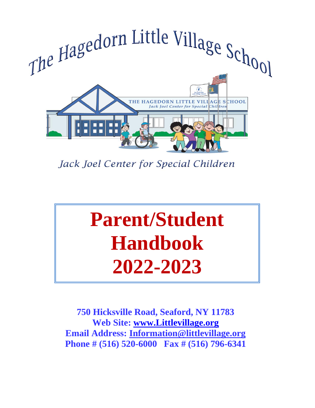

Jack Joel Center for Special Children

# **Parent/Student Handbook 2022-2023**

**750 Hicksville Road, Seaford, NY 11783 Web Site: [www.Littlevillage.org](http://www.littlevillage.org/) Email Address: [Information@littlevillage.org](mailto:Information@littlevillage.org) Phone # (516) 520-6000 Fax # (516) 796-6341**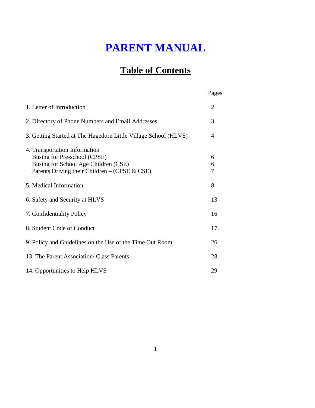# **PARENT MANUAL**

## **Table of Contents**

|                                                                                                                                                        | Pages          |
|--------------------------------------------------------------------------------------------------------------------------------------------------------|----------------|
| 1. Letter of Introduction                                                                                                                              | $\overline{2}$ |
| 2. Directory of Phone Numbers and Email Addresses                                                                                                      | 3              |
| 3. Getting Started at The Hagedorn Little Village School (HLVS)                                                                                        | 4              |
| 4. Transportation Information<br>Busing for Pre-school (CPSE)<br>Busing for School Age Children (CSE)<br>Parents Driving their Children – (CPSE & CSE) | 6<br>6<br>7    |
| 5. Medical Information                                                                                                                                 | 8              |
| 6. Safety and Security at HLVS                                                                                                                         | 13             |
| 7. Confidentiality Policy                                                                                                                              | 16             |
| 8. Student Code of Conduct                                                                                                                             | 17             |
| 9. Policy and Guidelines on the Use of the Time Out Room                                                                                               | 26             |
| 13. The Parent Association/ Class Parents                                                                                                              | 28             |
| 14. Opportunities to Help HLVS                                                                                                                         | 29             |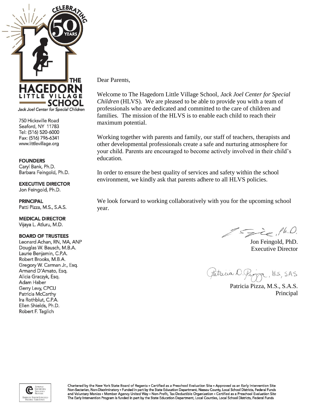

750 Hicksville Road Seaford, NY 11783 Tel: (516) 520-6000 Fax: (516) 796-6341 www.littlevillage.org

#### **FOUNDERS**

Caryl Bank, Ph.D. Barbara Feingold, Ph.D.

**EXECUTIVE DIRECTOR** Jon Feingold, Ph.D.

**PRINCIPAL** 

Patti Pizza, M.S., S.A.S.

**MEDICAL DIRECTOR** Vijaya L. Atluru, M.D.

#### **BOARD OF TRUSTEES**

Leonard Achan, RN, MA, ANP Douglas W. Bausch, M.B.A. Laurie Benjamin, C.P.A. Robert Brooks, M.B.A. Gregory W. Carman Jr., Esg. Armand D'Amato, Esq. Alicia Graczyk, Esq. Adam Haber Gerry Levy, CPCU Patricia McCarthy Ira Rothblut, C.P.A. Ellen Shields, Ph.D. Robert F. Taglich

Dear Parents*,*

Welcome to The Hagedorn Little Village School*, Jack Joel Center for Special Children* (HLVS). We are pleased to be able to provide you with a team of professionals who are dedicated and committed to the care of children and families. The mission of the HLVS is to enable each child to reach their maximum potential.

Working together with parents and family, our staff of teachers, therapists and other developmental professionals create a safe and nurturing atmosphere for your child. Parents are encouraged to become actively involved in their child's education.

In order to ensure the best quality of services and safety within the school environment, we kindly ask that parents adhere to all HLVS policies.

We look forward to working collaboratively with you for the upcoming school year.

Spie, Ph.D.

Jon Feingold, PhD. Executive Director

Patricia D. Pigga, MS., SAS

Patricia Pizza, M.S., S.A.S. Principal

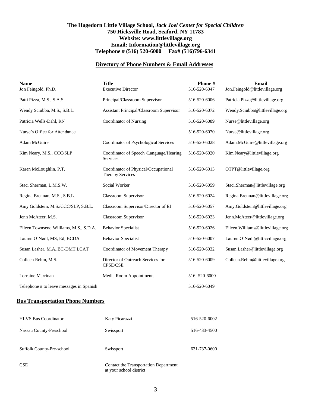#### **The Hagedorn Little Village School,** *Jack Joel Center for Special Children* **750 Hicksville Road, Seaford, NY 11783 Website: www.littlevillage.org Email: Information@littlevillage.org Telephone # (516) 520-6000 Fax# (516)796-6341**

#### **Directory of Phone Numbers & Email Addresses**

| <b>Name</b><br>Jon Feingold, Ph.D.       | <b>Title</b><br><b>Executive Director</b>                       | Phone#<br>516-520-6047 | Email<br>Jon.Feingold@littlevillage.org |
|------------------------------------------|-----------------------------------------------------------------|------------------------|-----------------------------------------|
| Patti Pizza, M.S., S.A.S.                | Principal/Classroom Supervisor                                  | 516-520-6006           | Patricia.Pizza@littlevillage.org        |
| Wendy Sciubba, M.S., S.B.L.              | Assistant Principal/Classroom Supervisor                        | 516-520-6072           | Wendy.Sciubba@littlevillage.org         |
| Patricia Wells-Dahl, RN                  | Coordinator of Nursing                                          | 516-520-6089           | Nurse@littlevillage.org                 |
| Nurse's Office for Attendance            |                                                                 | 516-520-6070           | Nurse@littlevillage.org                 |
| Adam McGuire                             | Coordinator of Psychological Services                           | 516-520-6028           | Adam.McGuire@littlevillage.org          |
| Kim Neary, M.S., CCC/SLP                 | Coordinator of Speech /Language/Hearing<br>Services             | 516-520-6020           | Kim.Neary@littlevillage.org             |
| Karen McLoughlin, P.T.                   | Coordinator of Physical/Occupational<br><b>Therapy Services</b> | 516-520-6013           | OTPT@littlevillage.org                  |
| Staci Sherman, L.M.S.W.                  | Social Worker                                                   | 516-520-6059           | Staci.Sherman@littlevillage.org         |
| Regina Brennan, M.S., S.B.L.             | <b>Classroom Supervisor</b>                                     | 516-520-6024           | Regina.Brennan@littlevillage.org        |
| Amy Goldstein, M.S./CCC/SLP, S.B.L.      | Classroom Supervisor/Director of EI                             | 516-520-6057           | Amy.Goldstein@littlevillage.org         |
| Jenn McAteer, M.S.                       | <b>Classroom Supervisor</b>                                     | 516-520-6023           | Jenn.McAteer@littlevillage.org          |
| Eileen Townsend Williams, M.S., S.D.A.   | <b>Behavior Specialist</b>                                      | 516-520-6026           | Eileen. Williams@littlevillage.org      |
| Lauren O'Neill, MS, Ed, BCDA             | <b>Behavior Specialist</b>                                      | 516-520-6007           | Lauren.O'Neill@littlevillage.org        |
| Susan Lasher, M.A., BC-DMT, LCAT         | Coordinator of Movement Therapy                                 | 516-520-6032           | Susan.Lasher@littlevillage.org          |
| Colleen Rehm, M.S.                       | Director of Outreach Services for<br><b>CPSE/CSE</b>            | 516-520-6009           | Colleen.Rehm@littlevillage.org          |
| Lorraine Marrinan                        | Media Room Appointments                                         | 516-520-6000           |                                         |
| Telephone # to leave messages in Spanish |                                                                 | 516-520-6049           |                                         |

#### **Bus Transportation Phone Numbers**

| <b>HLVS Bus Coordinator</b>      | Katy Picarazzi                        | 516-520-6002 |
|----------------------------------|---------------------------------------|--------------|
| Nassau County-Preschool          | Swissport                             | 516-433-4500 |
| <b>Suffolk County-Pre-school</b> | Swissport                             | 631-737-0600 |
| <b>CSE</b>                       | Contact the Transportation Department |              |

at your school district

3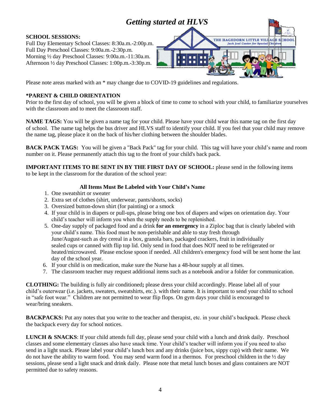## *Getting started at HLVS*

#### **SCHOOL SESSIONS:**

Full Day Elementary School Classes: 8:30a.m.-2:00p.m. Full Day Preschool Classes: 9:00a.m.-2:30p.m. Morning ½ day Preschool Classes: 9:00a.m.-11:30a.m. Afternoon ½ day Preschool Classes: 1:00p.m.-3:30p.m.

Please note areas marked with an \* may change due to COVID-19 guidelines and regulations.

#### **\*PARENT & CHILD ORIENTATION**

Prior to the first day of school, you will be given a block of time to come to school with your child, to familiarize yourselves with the classroom and to meet the classroom staff.

**NAME TAGS:** You will be given a name tag for your child. Please have your child wear this name tag on the first day of school. The name tag helps the bus driver and HLVS staff to identify your child. If you feel that your child may remove the name tag, please place it on the back of his/her clothing between the shoulder blades.

**BACK PACK TAGS:** You will be given a "Back Pack" tag for your child. This tag will have your child's name and room number on it. Please permanently attach this tag to the front of your child's back pack.

**IMPORTANT ITEMS TO BE SENT IN BY THE FIRST DAY OF SCHOOL:** please send in the following items to be kept in the classroom for the duration of the school year:

#### **All Items Must Be Labeled with Your Child's Name**

- 1. One sweatshirt or sweater
- 2. Extra set of clothes (shirt, underwear, pants/shorts, socks)
- 3. Oversized button-down shirt (for painting) or a smock
- 4. If your child is in diapers or pull-ups, please bring one box of diapers and wipes on orientation day. Your child's teacher will inform you when the supply needs to be replenished.
- 5. One-day supply of packaged food and a drink **for an emergency** in a Ziploc bag that is clearly labeled with your child's name. This food must be non-perishable and able to stay fresh through June/August-such as dry cereal in a box, granola bars, packaged crackers, fruit in individually sealed cups or canned with flip top lid. Only send in food that does NOT need to be refrigerated or heated/microwaved. Please enclose spoon if needed. All children's emergency food will be sent home the last day of the school year.
- 6. If your child is on medication, make sure the Nurse has a 48-hour supply at all times.
- 7. The classroom teacher may request additional items such as a notebook and/or a folder for communication.

**CLOTHING:** The building is fully air conditioned**;** please dress your child accordingly. Please label all of your child's outerwear (i.e. jackets, sweaters, sweatshirts, etc.). with their name. It is important to send your child to school in "safe foot wear." Children are not permitted to wear flip flops. On gym days your child is encouraged to wear/bring sneakers.

**BACKPACKS:** Put any notes that you write to the teacher and therapist, etc. in your child's backpack. Please check the backpack every day for school notices.

**LUNCH & SNACKS**: If your child attends full day, please send your child with a lunch and drink daily. Preschool classes and some elementary classes also have snack time. Your child's teacher will inform you if you need to also send in a light snack. Please label your child's lunch box and any drinks (juice box, sippy cup) with their name. We do not have the ability to warm food. You may send warm food in a thermos. For preschool children in the ½ day sessions, please send a light snack and drink daily. Please note that metal lunch boxes and glass containers are NOT permitted due to safety reasons.

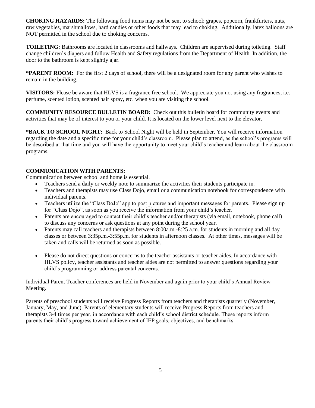**CHOKING HAZARDS:** The following food items may not be sent to school: grapes, popcorn, frankfurters, nuts, raw vegetables, marshmallows, hard candies or other foods that may lead to choking. Additionally, latex balloons are NOT permitted in the school due to choking concerns.

**TOILETING:** Bathrooms are located in classrooms and hallways. Children are supervised during toileting. Staff change children's diapers and follow Health and Safety regulations from the Department of Health. In addition, the door to the bathroom is kept slightly ajar.

**\*PARENT ROOM:** For the first 2 days of school, there will be a designated room for any parent who wishes to remain in the building.

**VISITORS:** Please be aware that HLVS is a fragrance free school. We appreciate you not using any fragrances, i.e. perfume, scented lotion, scented hair spray, etc. when you are visiting the school.

**COMMUNITY RESOURCE BULLETIN BOARD:** Check out this bulletin board for community events and activities that may be of interest to you or your child. It is located on the lower level next to the elevator.

**\*BACK TO SCHOOL NIGHT:** Back to School Night will be held in September. You will receive information regarding the date and a specific time for your child's classroom. Please plan to attend, as the school's programs will be described at that time and you will have the opportunity to meet your child's teacher and learn about the classroom programs.

#### **COMMUNICATION WITH PARENTS:**

Communication between school and home is essential.

- Teachers send a daily or weekly note to summarize the activities their students participate in.
- Teachers and therapists may use Class Dojo, email or a communication notebook for correspondence with individual parents.
- Teachers utilize the "Class DoJo" app to post pictures and important messages for parents. Please sign up for "Class Dojo", as soon as you receive the information from your child's teacher.
- Parents are encouraged to contact their child's teacher and/or therapists (via email, notebook, phone call) to discuss any concerns or ask questions at any point during the school year.
- Parents may call teachers and therapists between 8:00a.m.-8:25 a.m. for students in morning and all day classes or between 3:35p.m.-3:55p.m. for students in afternoon classes. At other times, messages will be taken and calls will be returned as soon as possible.
- Please do not direct questions or concerns to the teacher assistants or teacher aides. In accordance with HLVS policy, teacher assistants and teacher aides are not permitted to answer questions regarding your child's programming or address parental concerns.

Individual Parent Teacher conferences are held in November and again prior to your child's Annual Review Meeting.

Parents of preschool students will receive Progress Reports from teachers and therapists quarterly (November, January, May, and June). Parents of elementary students will receive Progress Reports from teachers and therapists 3-4 times per year, in accordance with each child's school district schedule. These reports inform parents their child's progress toward achievement of IEP goals, objectives, and benchmarks.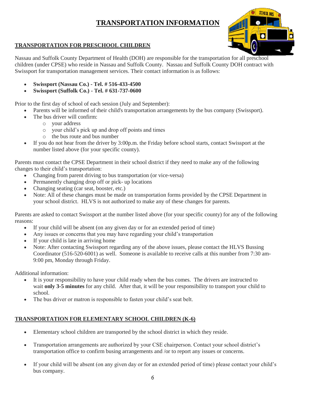### **TRANSPORTATION INFORMATION**



#### **TRANSPORTATION FOR PRESCHOOL CHILDREN**

Nassau and Suffolk County Department of Health (DOH) are responsible for the transportation for all preschool children (under CPSE) who reside in Nassau and Suffolk County. Nassau and Suffolk County DOH contract with Swissport for transportation management services. Their contact information is as follows:

- **Swissport (Nassau Co.) - Tel. # 516-433-4500**
- **Swissport (Suffolk Co.) - Tel. # 631-737-0600**

Prior to the first day of school of each session (July and September):

- Parents will be informed of their child's transportation arrangements by the bus company (Swissport).
	- The bus driver will confirm:
		- o your address
		- o your child's pick up and drop off points and times
		- o the bus route and bus number
- If you do not hear from the driver by 3:00p.m. the Friday before school starts, contact Swissport at the number listed above (for your specific county).

Parents must contact the CPSE Department in their school district if they need to make any of the following changes to their child's transportation:

- Changing from parent driving to bus transportation (or vice-versa)
- Permanently changing drop off or pick- up locations
- Changing seating (car seat, booster, etc.)
- Note: All of these changes must be made on transportation forms provided by the CPSE Department in your school district. HLVS is not authorized to make any of these changes for parents.

Parents are asked to contact Swissport at the number listed above (for your specific county) for any of the following reasons:

- If your child will be absent (on any given day or for an extended period of time)
- Any issues or concerns that you may have regarding your child's transportation
- If your child is late in arriving home
- Note: After contacting Swissport regarding any of the above issues, please contact the HLVS Bussing Coordinator (516-520-6001) as well. Someone is available to receive calls at this number from 7:30 am-9:00 pm, Monday through Friday.

Additional information:

- It is your responsibility to have your child ready when the bus comes. The drivers are instructed to wait **only 3-5 minutes** for any child. After that, it will be your responsibility to transport your child to school.
- The bus driver or matron is responsible to fasten your child's seat belt.

#### **TRANSPORTATION FOR ELEMENTARY SCHOOL CHILDREN (K-6)**

- Elementary school children are transported by the school district in which they reside.
- Transportation arrangements are authorized by your CSE chairperson. Contact your school district's transportation office to confirm busing arrangements and /or to report any issues or concerns.
- If your child will be absent (on any given day or for an extended period of time) please contact your child's bus company.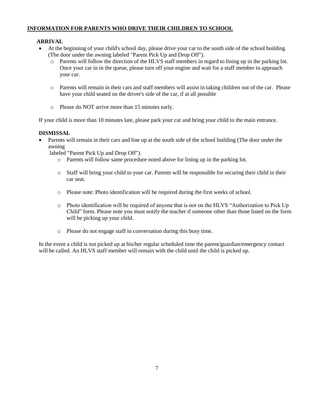#### **INFORMATION FOR PARENTS WHO DRIVE THEIR CHILDREN TO SCHOOL**

#### **ARRIVAL**

- At the beginning of your child's school day, please drive your car to the south side of the school building (The door under the awning labeled "Parent Pick Up and Drop Off").
	- o Parents will follow the direction of the HLVS staff members in regard to lining up in the parking lot. Once your car in in the queue, please turn off your engine and wait for a staff member to approach your car.
	- o Parents will remain in their cars and staff members will assist in taking children out of the car. Please have your child seated on the driver's side of the car, if at all possible
	- o Please do NOT arrive more than 15 minutes early.

If your child is more than 10 minutes late, please park your car and bring your child to the main entrance.

#### **DISMISSAL**

• Parents will remain in their cars and line up at the south side of the school building (The door under the awning

labeled "Parent Pick Up and Drop Off").

- o Parents will follow same procedure noted above for lining up in the parking lot.
- o Staff will bring your child to your car. Parents will be responsible for securing their child in their car seat.
- o Please note: Photo identification will be required during the first weeks of school.
- o Photo identification will be required of anyone that is not on the HLVS "Authorization to Pick Up Child" form. Please note you must notify the teacher if someone other than those listed on the form will be picking up your child.
- o Please do not engage staff in conversation during this busy time.

In the event a child is not picked up at his/her regular scheduled time the parent/guardian/emergency contact will be called. An HLVS staff member will remain with the child until the child is picked up.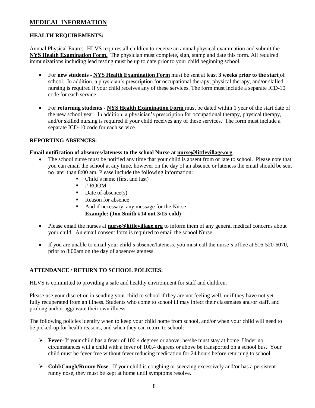#### **MEDICAL INFORMATION**

#### **HEALTH REQUIREMENTS:**

Annual Physical Exams**-** HLVS requires all children to receive an annual physical examination and submit the **NYS Health Examination Form.** The physician must complete, sign, stamp and date this form. All required immunizations including lead testing must be up to date prior to your child beginning school.

- For **new students NYS Health Examination Form** must be sent at least **3 weeks** p**rior to the start** of school. In addition, a physician's prescription for occupational therapy, physical therapy, and/or skilled nursing is required if your child receives any of these services. The form must include a separate ICD-10 code for each service.
- For **returning students - NYS Health Examination Form** must be dated within 1 year of the start date of the new school year. In addition, a physician's prescription for occupational therapy, physical therapy, and/or skilled nursing is required if your child receives any of these services. The form must include a separate ICD-10 code for each service.

#### **REPORTING ABSENCES:**

#### **Email notification of absences/lateness to the school Nurse at [nurse@littlevillage.org](mailto:nurse@littlevillage.org)**

- The school nurse must be notified any time that your child is absent from or late to school. Please note that you can email the school at any time, however on the day of an absence or lateness the email should be sent no later than 8:00 am. Please include the following information:
	- Child's name (first and last)
	- $\blacksquare$  # ROOM
	- $\blacksquare$  Date of absence(s)
	- Reason for absence
	- And if necessary, any message for the Nurse **Example: (Jon Smith #14 out 3/15-cold)**
- Please email the nurses at **[nurse@littlevillage.org](mailto:nurse@littlevillage.org)** to inform them of any general medical concerns about your child. An email consent form is required to email the school Nurse.
- If you are unable to email your child's absence/lateness, you must call the nurse's office at 516-520-6070, prior to 8:00am on the day of absence/lateness.

#### **ATTENDANCE / RETURN TO SCHOOL POLICIES:**

HLVS is committed to providing a safe and healthy environment for staff and children.

Please use your discretion in sending your child to school if they are not feeling well, or if they have not yet fully recuperated from an illness. Students who come to school ill may infect their classmates and/or staff, and prolong and/or aggravate their own illness.

The following policies identify when to keep your child home from school, and/or when your child will need to be picked-up for health reasons, and when they can return to school:

- **Fever** If your child has a fever of 100.4 degrees or above, he/she must stay at home. Under no circumstances will a child with a fever of 100.4 degrees or above be transported on a school bus. Your child must be fever free without fever reducing medication for 24 hours before returning to school.
- **Cold/Cough/Runny Nose** If your child is coughing or sneezing excessively and/or has a persistent runny nose, they must be kept at home until symptoms resolve.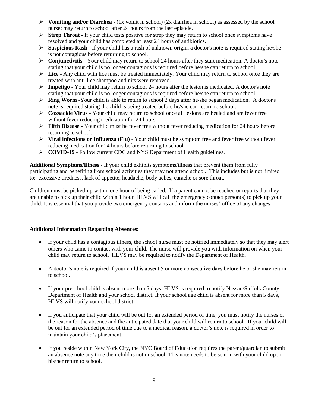- **Vomiting and/or Diarrhea** (1x vomit in school) (2x diarrhea in school) as assessed by the school nurse: may return to school after 24 hours from the last episode.
- **►** Strep Throat If your child tests positive for strep they may return to school once symptoms have resolved and your child has completed at least 24 hours of antibiotics.
- $\triangleright$  **Suspicious Rash** If your child has a rash of unknown origin, a doctor's note is required stating he/she is not contagious before returning to school.
- **Conjunctivitis**  Your child may return to school 24 hours after they start medication. A doctor's note stating that your child is no longer contagious is required before he/she can return to school.
- **Lice**  Any child with lice must be treated immediately. Your child may return to school once they are treated with anti-lice shampoo and nits were removed.
- **Impetigo**  Your child may return to school 24 hours after the lesion is medicated. A doctor's note stating that your child is no longer contagious is required before he/she can return to school.
- **Example Worm** -Your child is able to return to school 2 days after he/she began medication. A doctor's note is required stating the child is being treated before he/she can return to school.
- **Coxsackie Virus**  Your child may return to school once all lesions are healed and are fever free without fever reducing medication for 24 hours.
- **Fifth Disease -** Your child must be fever free without fever reducing medication for 24 hours before returning to school.
- $\triangleright$  Viral infections or Influenza (Flu) Your child must be symptom free and fever free without fever reducing medication for 24 hours before returning to school.
- **COVID-19 -** Follow current CDC and NYS Department of Health guidelines.

**Additional Symptoms/Illness** - If your child exhibits symptoms/illness that prevent them from fully participating and benefiting from school activities they may not attend school. This includes but is not limited to: excessive tiredness, lack of appetite, headache, body aches, earache or sore throat.

Children must be picked-up within one hour of being called. If a parent cannot be reached or reports that they are unable to pick up their child within 1 hour, HLVS will call the emergency contact person(s) to pick up your child. It is essential that you provide two emergency contacts and inform the nurses' office of any changes.

#### **Additional Information Regarding Absences:**

- If your child has a contagious illness, the school nurse must be notified immediately so that they may alert others who came in contact with your child. The nurse will provide you with information on when your child may return to school. HLVS may be required to notify the Department of Health.
- A doctor's note is required if your child is absent 5 or more consecutive days before he or she may return to school.
- If your preschool child is absent more than 5 days, HLVS is required to notify Nassau/Suffolk County Department of Health and your school district. If your school age child is absent for more than 5 days, HLVS will notify your school district.
- If you anticipate that your child will be out for an extended period of time, you must notify the nurses of the reason for the absence and the anticipated date that your child will return to school. If your child will be out for an extended period of time due to a medical reason, a doctor's note is required in order to maintain your child's placement.
- If you reside within New York City, the NYC Board of Education requires the parent/guardian to submit an absence note any time their child is not in school. This note needs to be sent in with your child upon his/her return to school.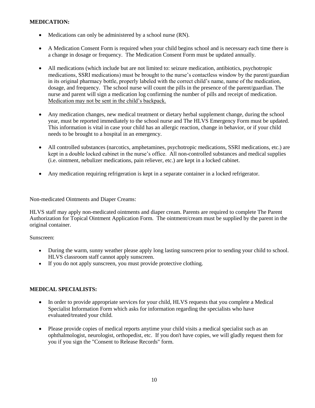#### **MEDICATION:**

- Medications can only be administered by a school nurse (RN).
- A Medication Consent Form is required when your child begins school and is necessary each time there is a change in dosage or frequency. The Medication Consent Form must be updated annually.
- All medications (which include but are not limited to: seizure medication, antibiotics, psychotropic medications, SSRI medications) must be brought to the nurse's contactless window by the parent/guardian in its original pharmacy bottle, properly labeled with the correct child's name, name of the medication, dosage, and frequency. The school nurse will count the pills in the presence of the parent/guardian. The nurse and parent will sign a medication log confirming the number of pills and receipt of medication. Medication may not be sent in the child's backpack.
- Any medication changes, new medical treatment or dietary herbal supplement change, during the school year, must be reported immediately to the school nurse and The HLVS Emergency Form must be updated. This information is vital in case your child has an allergic reaction, change in behavior, or if your child needs to be brought to a hospital in an emergency.
- All controlled substances (narcotics, amphetamines, psychotropic medications, SSRI medications, etc.) are kept in a double locked cabinet in the nurse's office. All non-controlled substances and medical supplies (i.e. ointment, nebulizer medications, pain reliever, etc.) are kept in a locked cabinet.
- Any medication requiring refrigeration is kept in a separate container in a locked refrigerator.

Non-medicated Ointments and Diaper Creams:

HLVS staff may apply non-medicated ointments and diaper cream. Parents are required to complete The Parent Authorization for Topical Ointment Application Form. The ointment/cream must be supplied by the parent in the original container.

Sunscreen:

- During the warm, sunny weather please apply long lasting sunscreen prior to sending your child to school. HLVS classroom staff cannot apply sunscreen.
- If you do not apply sunscreen, you must provide protective clothing.

#### **MEDICAL SPECIALISTS:**

- In order to provide appropriate services for your child, HLVS requests that you complete a Medical Specialist Information Form which asks for information regarding the specialists who have evaluated/treated your child.
- Please provide copies of medical reports anytime your child visits a medical specialist such as an ophthalmologist, neurologist, orthopedist, etc. If you don't have copies, we will gladly request them for you if you sign the "Consent to Release Records" form.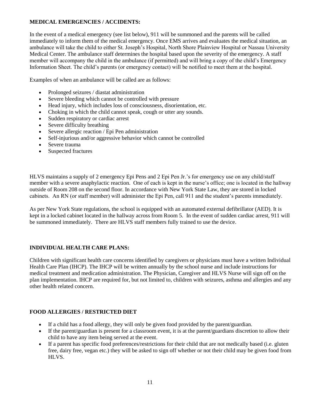#### **MEDICAL EMERGENCIES / ACCIDENTS:**

In the event of a medical emergency (see list below), 911 will be summoned and the parents will be called immediately to inform them of the medical emergency. Once EMS arrives and evaluates the medical situation, an ambulance will take the child to either St. Joseph's Hospital, North Shore Plainview Hospital or Nassau University Medical Center. The ambulance staff determines the hospital based upon the severity of the emergency. A staff member will accompany the child in the ambulance (if permitted) and will bring a copy of the child's Emergency Information Sheet. The child's parents (or emergency contact) will be notified to meet them at the hospital.

Examples of when an ambulance will be called are as follows:

- Prolonged seizures / diastat administration
- Severe bleeding which cannot be controlled with pressure
- Head injury, which includes loss of consciousness, disorientation, etc.
- Choking in which the child cannot speak, cough or utter any sounds.
- Sudden respiratory or cardiac arrest
- Severe difficulty breathing
- Severe allergic reaction / Epi Pen administration
- Self-injurious and/or aggressive behavior which cannot be controlled
- Severe trauma
- Suspected fractures

HLVS maintains a supply of 2 emergency Epi Pens and 2 Epi Pen Jr.'s for emergency use on any child/staff member with a severe anaphylactic reaction. One of each is kept in the nurse's office; one is located in the hallway outside of Room 208 on the second floor. In accordance with New York State Law, they are stored in locked cabinets. An RN (or staff member) will administer the Epi Pen, call 911 and the student's parents immediately.

As per New York State regulations, the school is equipped with an automated external defibrillator (AED). It is kept in a locked cabinet located in the hallway across from Room 5. In the event of sudden cardiac arrest, 911 will be summoned immediately. There are HLVS staff members fully trained to use the device.

#### **INDIVIDUAL HEALTH CARE PLANS:**

Children with significant health care concerns identified by caregivers or physicians must have a written Individual Health Care Plan (IHCP). The IHCP will be written annually by the school nurse and include instructions for medical treatment and medication administration. The Physician, Caregiver and HLVS Nurse will sign off on the plan implementation. IHCP are required for, but not limited to, children with seizures, asthma and allergies and any other health related concern.

#### **FOOD ALLERGIES / RESTRICTED DIET**

- If a child has a food allergy, they will only be given food provided by the parent/guardian.
- If the parent/guardian is present for a classroom event, it is at the parent/guardians discretion to allow their child to have any item being served at the event.
- If a parent has specific food preferences/restrictions for their child that are not medically based (i.e. gluten free, dairy free, vegan etc.) they will be asked to sign off whether or not their child may be given food from HLVS.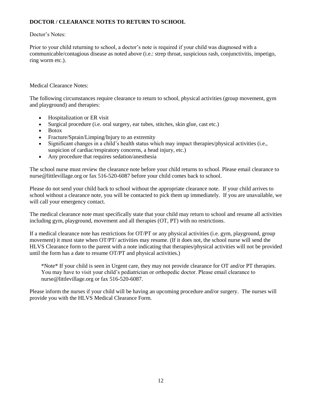#### **DOCTOR / CLEARANCE NOTES TO RETURN TO SCHOOL**

#### Doctor's Notes:

Prior to your child returning to school, a doctor's note is required if your child was diagnosed with a communicable/contagious disease as noted above (i.e.: strep throat, suspicious rash, conjunctivitis, impetigo, ring worm etc.).

Medical Clearance Notes:

The following circumstances require clearance to return to school, physical activities (group movement, gym and playground) and therapies:

- Hospitalization or ER visit
- Surgical procedure (i.e. oral surgery, ear tubes, stitches, skin glue, cast etc.)
- Botox
- Fracture/Sprain/Limping/Injury to an extremity
- Significant changes in a child's health status which may impact therapies/physical activities (i.e., suspicion of cardiac/respiratory concerns, a head injury, etc.)
- Any procedure that requires sedation/anesthesia

The school nurse must review the clearance note before your child returns to school. Please email clearance to nurse@littlevillage.org or fax 516-520-6087 before your child comes back to school.

Please do not send your child back to school without the appropriate clearance note. If your child arrives to school without a clearance note, you will be contacted to pick them up immediately. If you are unavailable, we will call your emergency contact.

The medical clearance note must specifically state that your child may return to school and resume all activities including gym, playground, movement and all therapies (OT, PT) with no restrictions.

If a medical clearance note has restrictions for OT/PT or any physical activities (i.e. gym, playground, group movement) it must state when OT/PT/ activities may resume. (If it does not, the school nurse will send the HLVS Clearance form to the parent with a note indicating that therapies/physical activities will not be provided until the form has a date to resume OT/PT and physical activities.)

\*Note\* If your child is seen in Urgent care, they may not provide clearance for OT and/or PT therapies. You may have to visit your child's pediatrician or orthopedic doctor. Please email clearance to nurse@littlevillage.org or fax 516-520-6087.

Please inform the nurses if your child will be having an upcoming procedure and/or surgery. The nurses will provide you with the HLVS Medical Clearance Form.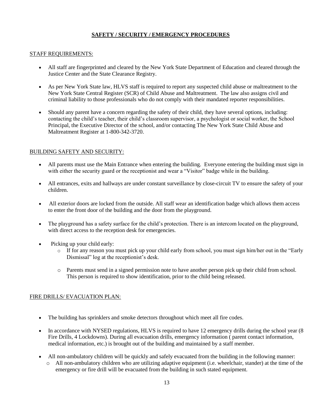#### **SAFETY / SECURITY / EMERGENCY PROCEDURES**

#### STAFF REQUIREMENTS:

- All staff are fingerprinted and cleared by the New York State Department of Education and cleared through the Justice Center and the State Clearance Registry.
- As per New York State law, HLVS staff is required to report any suspected child abuse or maltreatment to the New York State Central Register (SCR) of Child Abuse and Maltreatment. The law also assigns civil and criminal liability to those professionals who do not comply with their mandated reporter responsibilities.
- Should any parent have a concern regarding the safety of their child, they have several options, including: contacting the child's teacher, their child's classroom supervisor, a psychologist or social worker, the School Principal, the Executive Director of the school, and/or contacting The New York State Child Abuse and Maltreatment Register at 1-800-342-3720.

#### BUILDING SAFETY AND SECURITY:

- All parents must use the Main Entrance when entering the building. Everyone entering the building must sign in with either the security guard or the receptionist and wear a "Visitor" badge while in the building.
- All entrances, exits and hallways are under constant surveillance by close-circuit TV to ensure the safety of your children.
- All exterior doors are locked from the outside. All staff wear an identification badge which allows them access to enter the front door of the building and the door from the playground.
- The playground has a safety surface for the child's protection. There is an intercom located on the playground, with direct access to the reception desk for emergencies.
- Picking up your child early:
	- $\circ$  If for any reason you must pick up your child early from school, you must sign him/her out in the "Early" Dismissal" log at the receptionist's desk.
	- o Parents must send in a signed permission note to have another person pick up their child from school. This person is required to show identification, prior to the child being released.

#### FIRE DRILLS/ EVACUATION PLAN:

- The building has sprinklers and smoke detectors throughout which meet all fire codes.
- In accordance with NYSED regulations, HLVS is required to have 12 emergency drills during the school year (8) Fire Drills, 4 Lockdowns). During all evacuation drills, emergency information ( parent contact information, medical information, etc.) is brought out of the building and maintained by a staff member.
- All non-ambulatory children will be quickly and safely evacuated from the building in the following manner:
	- $\circ$  All non-ambulatory children who are utilizing adaptive equipment (i.e. wheelchair, stander) at the time of the emergency or fire drill will be evacuated from the building in such stated equipment.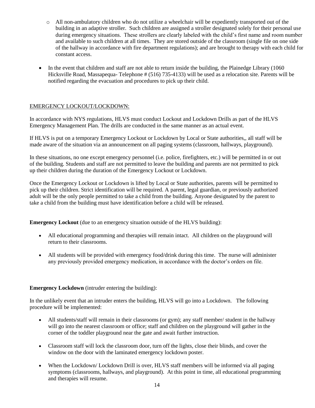- o All non-ambulatory children who do not utilize a wheelchair will be expediently transported out of the building in an adaptive stroller. Such children are assigned a stroller designated solely for their personal use during emergency situations. These strollers are clearly labeled with the child's first name and room number and available to such children at all times. They are stored outside of the classroom (single file on one side of the hallway in accordance with fire department regulations); and are brought to therapy with each child for constant access.
- In the event that children and staff are not able to return inside the building, the Plainedge Library (1060) Hicksville Road, Massapequa- Telephone # (516) 735-4133) will be used as a relocation site. Parents will be notified regarding the evacuation and procedures to pick up their child.

#### EMERGENCY LOCKOUT/LOCKDOWN:

In accordance with NYS regulations, HLVS must conduct Lockout and Lockdown Drills as part of the HLVS Emergency Management Plan. The drills are conducted in the same manner as an actual event.

If HLVS is put on a temporary Emergency Lockout or Lockdown by Local or State authorities,, all staff will be made aware of the situation via an announcement on all paging systems (classroom, hallways, playground).

In these situations, no one except emergency personnel (i.e. police, firefighters, etc.) will be permitted in or out of the building. Students and staff are not permitted to leave the building and parents are not permitted to pick up their children during the duration of the Emergency Lockout or Lockdown.

Once the Emergency Lockout or Lockdown is lifted by Local or State authorities, parents will be permitted to pick up their children. Strict identification will be required. A parent, legal guardian, or previously authorized adult will be the only people permitted to take a child from the building. Anyone designated by the parent to take a child from the building must have identification before a child will be released.

**Emergency Lockout** (due to an emergency situation outside of the HLVS building):

- All educational programming and therapies will remain intact. All children on the playground will return to their classrooms.
- All students will be provided with emergency food/drink during this time. The nurse will administer any previously provided emergency medication, in accordance with the doctor's orders on file.

#### **Emergency Lockdown** (intruder entering the building):

In the unlikely event that an intruder enters the building, HLVS will go into a Lockdown. The following procedure will be implemented:

- All students/staff will remain in their classrooms (or gym); any staff member/ student in the hallway will go into the nearest classroom or office; staff and children on the playground will gather in the corner of the toddler playground near the gate and await further instruction.
- Classroom staff will lock the classroom door, turn off the lights, close their blinds, and cover the window on the door with the laminated emergency lockdown poster.
- When the Lockdown/Lockdown Drill is over, HLVS staff members will be informed via all paging symptoms (classrooms, hallways, and playground). At this point in time, all educational programming and therapies will resume.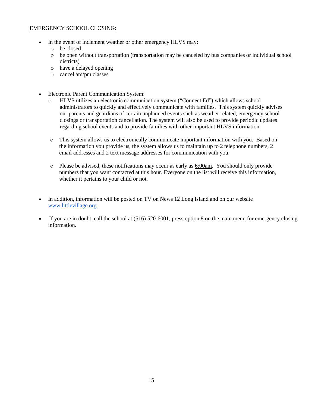#### EMERGENCY SCHOOL CLOSING:

- In the event of inclement weather or other emergency HLVS may:
	- o be closed
	- o be open without transportation (transportation may be canceled by bus companies or individual school districts)
	- o have a delayed opening
	- o cancel am/pm classes
- Electronic Parent Communication System:
	- o HLVS utilizes an electronic communication system ("Connect Ed") which allows school administrators to quickly and effectively communicate with families. This system quickly advises our parents and guardians of certain unplanned events such as weather related, emergency school closings or transportation cancellation. The system will also be used to provide periodic updates regarding school events and to provide families with other important HLVS information.
	- o This system allows us to electronically communicate important information with you. Based on the information you provide us, the system allows us to maintain up to 2 telephone numbers, 2 email addresses and 2 text message addresses for communication with you.
	- $\circ$  Please be advised, these notifications may occur as early as  $6:00$ am. You should only provide numbers that you want contacted at this hour. Everyone on the list will receive this information, whether it pertains to your child or not.
- In addition, information will b[e](http://www.littlevillage.org/) posted on TV on News 12 Long Island and on our website [www.littlevillage.org.](http://www.littlevillage.org/)
- If you are in doubt, call the school at (516) 520-6001, press option 8 on the main menu for emergency closing information.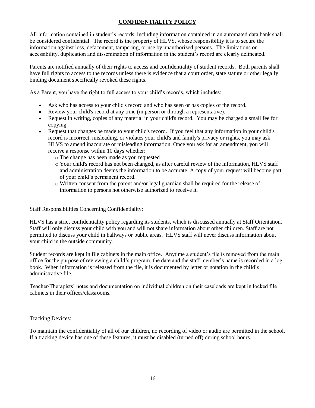#### **CONFIDENTIALITY POLICY**

All information contained in student's records, including information contained in an automated data bank shall be considered confidential. The record is the property of HLVS, whose responsibility it is to secure the information against loss, defacement, tampering, or use by unauthorized persons. The limitations on accessibility, duplication and dissemination of information in the student's record are clearly delineated.

Parents are notified annually of their rights to access and confidentiality of student records. Both parents shall have full rights to access to the records unless there is evidence that a court order, state statute or other legally binding document specifically revoked these rights.

As a Parent, you have the right to full access to your child's records, which includes:

- Ask who has access to your child's record and who has seen or has copies of the record.
- Review your child's record at any time (in person or through a representative).
- Request in writing, copies of any material in your child's record. You may be charged a small fee for copying.
- Request that changes be made to your child's record. If you feel that any information in your child's record is incorrect, misleading, or violates your child's and family's privacy or rights, you may ask HLVS to amend inaccurate or misleading information. Once you ask for an amendment, you will receive a response within 10 days whether:
	- o The change has been made as you requested
	- o Your child's record has not been changed, as after careful review of the information, HLVS staff and administration deems the information to be accurate. A copy of your request will become part of your child's permanent record.
	- o Written consent from the parent and/or legal guardian shall be required for the release of information to persons not otherwise authorized to receive it.

Staff Responsibilities Concerning Confidentiality:

HLVS has a strict confidentiality policy regarding its students, which is discussed annually at Staff Orientation. Staff will only discuss your child with you and will not share information about other children. Staff are not permitted to discuss your child in hallways or public areas. HLVS staff will never discuss information about your child in the outside community.

Student records are kept in file cabinets in the main office. Anytime a student's file is removed from the main office for the purpose of reviewing a child's program, the date and the staff member's name is recorded in a log book. When information is released from the file, it is documented by letter or notation in the child's administrative file.

Teacher/Therapists' notes and documentation on individual children on their caseloads are kept in locked file cabinets in their offices/classrooms.

#### Tracking Devices:

To maintain the confidentiality of all of our children, no recording of video or audio are permitted in the school. If a tracking device has one of these features, it must be disabled (turned off) during school hours.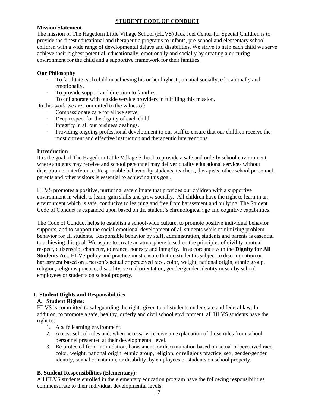#### **STUDENT CODE OF CONDUCT**

#### **Mission Statement**

The mission of The Hagedorn Little Village School (HLVS) Jack Joel Center for Special Children is to provide the finest educational and therapeutic programs to infants, pre-school and elementary school children with a wide range of developmental delays and disabilities. We strive to help each child we serve achieve their highest potential, educationally, emotionally and socially by creating a nurturing environment for the child and a supportive framework for their families.

#### **Our Philosophy**

- · To facilitate each child in achieving his or her highest potential socially, educationally and emotionally.
- To provide support and direction to families.
- · To collaborate with outside service providers in fulfilling this mission.

In this work we are committed to the values of:

- · Compassionate care for all we serve.
- Deep respect for the dignity of each child.
- Integrity in all our business dealings.
- · Providing ongoing professional development to our staff to ensure that our children receive the most current and effective instruction and therapeutic interventions.

#### **Introduction**

It is the goal of The Hagedorn Little Village School to provide a safe and orderly school environment where students may receive and school personnel may deliver quality educational services without disruption or interference. Responsible behavior by students, teachers, therapists, other school personnel, parents and other visitors is essential to achieving this goal.

HLVS promotes a positive, nurturing, safe climate that provides our children with a supportive environment in which to learn, gain skills and grow socially. All children have the right to learn in an environment which is safe, conducive to learning and free from harassment and bullying. The Student Code of Conduct is expanded upon based on the student's chronological age and cognitive capabilities.

The Code of Conduct helps to establish a school-wide culture, to promote positive individual behavior supports, and to support the social-emotional development of all students while minimizing problem behavior for all students. Responsible behavior by staff, administration, students and parents is essential to achieving this goal. We aspire to create an atmosphere based on the principles of civility, mutual respect, citizenship, character, tolerance, honesty and integrity. In accordance with the **Dignity for All Students Act**, HLVS policy and practice must ensure that no student is subject to discrimination or harassment based on a person's actual or perceived race, color, weight, national origin, ethnic group, religion, religious practice, disability, sexual orientation, gender/gender identity or sex by school employees or students on school property.

#### **I. Student Rights and Responsibilities**

#### **A. Student Rights:**

HLVS is committed to safeguarding the rights given to all students under state and federal law. In addition, to promote a safe, healthy, orderly and civil school environment, all HLVS students have the right to:

- 1. A safe learning environment.
- 2. Access school rules and, when necessary, receive an explanation of those rules from school personnel presented at their developmental level.
- 3. Be protected from intimidation, harassment, or discrimination based on actual or perceived race, color, weight, national origin, ethnic group, religion, or religious practice, sex, gender/gender identity, sexual orientation, or disability, by employees or students on school property.

#### **B. Student Responsibilities (Elementary):**

All HLVS students enrolled in the elementary education program have the following responsibilities commensurate to their individual developmental levels: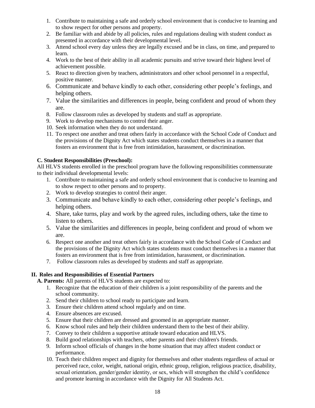- 1. Contribute to maintaining a safe and orderly school environment that is conducive to learning and to show respect for other persons and property.
- 2. Be familiar with and abide by all policies, rules and regulations dealing with student conduct as presented in accordance with their developmental level.
- 3. Attend school every day unless they are legally excused and be in class, on time, and prepared to learn.
- 4. Work to the best of their ability in all academic pursuits and strive toward their highest level of achievement possible.
- 5. React to direction given by teachers, administrators and other school personnel in a respectful, positive manner.
- 6. Communicate and behave kindly to each other, considering other people's feelings, and helping others.
- 7. Value the similarities and differences in people, being confident and proud of whom they are.
- 8. Follow classroom rules as developed by students and staff as appropriate.
- 9. Work to develop mechanisms to control their anger.
- 10. Seek information when they do not understand.
- 11. To respect one another and treat others fairly in accordance with the School Code of Conduct and the provisions of the Dignity Act which states students conduct themselves in a manner that fosters an environment that is free from intimidation, harassment, or discrimination.

#### **C. Student Responsibilities (Preschool):**

All HLVS students enrolled in the preschool program have the following responsibilities commensurate to their individual developmental levels:

- 1. Contribute to maintaining a safe and orderly school environment that is conducive to learning and to show respect to other persons and to property.
- 2. Work to develop strategies to control their anger.
- 3. Communicate and behave kindly to each other, considering other people's feelings, and helping others.
- 4. Share, take turns, play and work by the agreed rules, including others, take the time to listen to others.
- 5. Value the similarities and differences in people, being confident and proud of whom we are.
- 6. Respect one another and treat others fairly in accordance with the School Code of Conduct and the provisions of the Dignity Act which states students must conduct themselves in a manner that fosters an environment that is free from intimidation, harassment, or discrimination.
- 7. Follow classroom rules as developed by students and staff as appropriate.

#### **II. Roles and Responsibilities of Essential Partners**

**A. Parents:** All parents of HLVS students are expected to:

- 1. Recognize that the education of their children is a joint responsibility of the parents and the school community.
- 2. Send their children to school ready to participate and learn.
- 3. Ensure their children attend school regularly and on time.
- 4. Ensure absences are excused.
- 5. Ensure that their children are dressed and groomed in an appropriate manner.
- 6. Know school rules and help their children understand them to the best of their ability.
- 7. Convey to their children a supportive attitude toward education and HLVS.
- 8. Build good relationships with teachers, other parents and their children's friends.
- 9. Inform school officials of changes in the home situation that may affect student conduct or performance.
- 10. Teach their children respect and dignity for themselves and other students regardless of actual or perceived race, color, weight, national origin, ethnic group, religion, religious practice, disability, sexual orientation, gender/gender identity, or sex, which will strengthen the child's confidence and promote learning in accordance with the Dignity for All Students Act.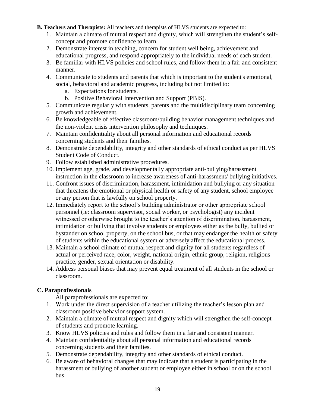#### **B. Teachers and Therapists:** All teachers and therapists of HLVS students are expected to:

- 1. Maintain a climate of mutual respect and dignity, which will strengthen the student's selfconcept and promote confidence to learn.
- 2. Demonstrate interest in teaching, concern for student well being, achievement and educational progress, and respond appropriately to the individual needs of each student.
- 3. Be familiar with HLVS policies and school rules, and follow them in a fair and consistent manner.
- 4. Communicate to students and parents that which is important to the student's emotional, social, behavioral and academic progress, including but not limited to:
	- a. Expectations for students.
	- b. Positive Behavioral Intervention and Support (PBIS).
- 5. Communicate regularly with students, parents and the multidisciplinary team concerning growth and achievement.
- 6. Be knowledgeable of effective classroom/building behavior management techniques and the non-violent crisis intervention philosophy and techniques.
- 7. Maintain confidentiality about all personal information and educational records concerning students and their families.
- 8. Demonstrate dependability, integrity and other standards of ethical conduct as per HLVS Student Code of Conduct.
- 9. Follow established administrative procedures.
- 10. Implement age, grade, and developmentally appropriate anti-bullying/harassment instruction in the classroom to increase awareness of anti-harassment/ bullying initiatives.
- 11. Confront issues of discrimination, harassment, intimidation and bullying or any situation that threatens the emotional or physical health or safety of any student, school employee or any person that is lawfully on school property.
- 12. Immediately report to the school's building administrator or other appropriate school personnel (ie: classroom supervisor, social worker, or psychologist) any incident witnessed or otherwise brought to the teacher's attention of discrimination, harassment, intimidation or bullying that involve students or employees either as the bully, bullied or bystander on school property, on the school bus, or that may endanger the health or safety of students within the educational system or adversely affect the educational process.
- 13. Maintain a school climate of mutual respect and dignity for all students regardless of actual or perceived race, color, weight, national origin, ethnic group, religion, religious practice, gender, sexual orientation or disability.
- 14. Address personal biases that may prevent equal treatment of all students in the school or classroom.

#### **C. Paraprofessionals**

All paraprofessionals are expected to:

- 1. Work under the direct supervision of a teacher utilizing the teacher's lesson plan and classroom positive behavior support system.
- 2. Maintain a climate of mutual respect and dignity which will strengthen the self-concept of students and promote learning.
- 3. Know HLVS policies and rules and follow them in a fair and consistent manner.
- 4. Maintain confidentiality about all personal information and educational records concerning students and their families.
- 5. Demonstrate dependability, integrity and other standards of ethical conduct.
- 6. Be aware of behavioral changes that may indicate that a student is participating in the harassment or bullying of another student or employee either in school or on the school bus.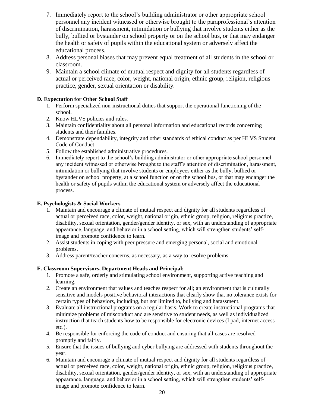- 7. Immediately report to the school's building administrator or other appropriate school personnel any incident witnessed or otherwise brought to the paraprofessional's attention of discrimination, harassment, intimidation or bullying that involve students either as the bully, bullied or bystander on school property or on the school bus, or that may endanger the health or safety of pupils within the educational system or adversely affect the educational process.
- 8. Address personal biases that may prevent equal treatment of all students in the school or classroom.
- 9. Maintain a school climate of mutual respect and dignity for all students regardless of actual or perceived race, color, weight, national origin, ethnic group, religion, religious practice, gender, sexual orientation or disability.

#### **D. Expectation for Other School Staff**

- 1. Perform specialized non-instructional duties that support the operational functioning of the school.
- 2. Know HLVS policies and rules.
- 3. Maintain confidentiality about all personal information and educational records concerning students and their families.
- 4. Demonstrate dependability, integrity and other standards of ethical conduct as per HLVS Student Code of Conduct.
- 5. Follow the established administrative procedures.
- 6. Immediately report to the school's building administrator or other appropriate school personnel any incident witnessed or otherwise brought to the staff's attention of discrimination, harassment, intimidation or bullying that involve students or employees either as the bully, bullied or bystander on school property, at a school function or on the school bus, or that may endanger the health or safety of pupils within the educational system or adversely affect the educational process.

#### **E. Psychologists & Social Workers**

- 1. Maintain and encourage a climate of mutual respect and dignity for all students regardless of actual or perceived race, color, weight, national origin, ethnic group, religion, religious practice, disability, sexual orientation, gender/gender identity, or sex, with an understanding of appropriate appearance, language, and behavior in a school setting, which will strengthen students' selfimage and promote confidence to learn.
- 2. Assist students in coping with peer pressure and emerging personal, social and emotional problems.
- 3. Address parent/teacher concerns, as necessary, as a way to resolve problems.

#### **F. Classroom Supervisors, Department Heads and Principal:**

- 1. Promote a safe, orderly and stimulating school environment, supporting active teaching and learning.
- 2. Create an environment that values and teaches respect for all; an environment that is culturally sensitive and models positive behavioral interactions that clearly show that no tolerance exists for certain types of behaviors, including, but not limited to, bullying and harassment.
- 3. Evaluate all instructional programs on a regular basis. Work to create instructional programs that minimize problems of misconduct and are sensitive to student needs, as well as individualized instruction that teach students how to be responsible for electronic devices (I pad, internet access etc.).
- 4. Be responsible for enforcing the code of conduct and ensuring that all cases are resolved promptly and fairly.
- 5. Ensure that the issues of bullying and cyber bullying are addressed with students throughout the year.
- 6. Maintain and encourage a climate of mutual respect and dignity for all students regardless of actual or perceived race, color, weight, national origin, ethnic group, religion, religious practice, disability, sexual orientation, gender/gender identity, or sex, with an understanding of appropriate appearance, language, and behavior in a school setting, which will strengthen students' selfimage and promote confidence to learn.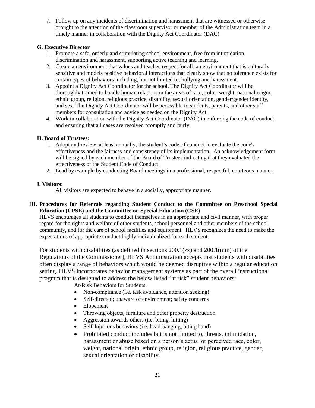7. Follow up on any incidents of discrimination and harassment that are witnessed or otherwise brought to the attention of the classroom supervisor or member of the Administration team in a timely manner in collaboration with the Dignity Act Coordinator (DAC).

#### **G. Executive Director**

- 1. Promote a safe, orderly and stimulating school environment, free from intimidation, discrimination and harassment, supporting active teaching and learning.
- 2. Create an environment that values and teaches respect for all; an environment that is culturally sensitive and models positive behavioral interactions that clearly show that no tolerance exists for certain types of behaviors including, but not limited to, bullying and harassment.
- 3. Appoint a Dignity Act Coordinator for the school. The Dignity Act Coordinator will be thoroughly trained to handle human relations in the areas of race, color, weight, national origin, ethnic group, religion, religious practice, disability, sexual orientation, gender/gender identity, and sex. The Dignity Act Coordinator will be accessible to students, parents, and other staff members for consultation and advice as needed on the Dignity Act.
- 4. Work in collaboration with the Dignity Act Coordinator (DAC) in enforcing the code of conduct and ensuring that all cases are resolved promptly and fairly.

#### **H. Board of Trustees:**

- 1. Adopt and review, at least annually, the student's code of conduct to evaluate the code's effectiveness and the fairness and consistency of its implementation. An acknowledgement form will be signed by each member of the Board of Trustees indicating that they evaluated the effectiveness of the Student Code of Conduct.
- 2. Lead by example by conducting Board meetings in a professional, respectful, courteous manner.

#### **I. Visitors:**

All visitors are expected to behave in a socially, appropriate manner.

**III. Procedures for Referrals regarding Student Conduct to the Committee on Preschool Special Education (CPSE) and the Committee on Special Education (CSE)** 

HLVS encourages all students to conduct themselves in an appropriate and civil manner, with proper regard for the rights and welfare of other students, school personnel and other members of the school community, and for the care of school facilities and equipment. HLVS recognizes the need to make the expectations of appropriate conduct highly individualized for each student.

For students with disabilities (as defined in sections 200.1(zz) and 200.1(mm) of the Regulations of the Commissioner), HLVS Administration accepts that students with disabilities often display a range of behaviors which would be deemed disruptive within a regular education setting. HLVS incorporates behavior management systems as part of the overall instructional program that is designed to address the below listed "at risk" student behaviors:

At-Risk Behaviors for Students:

- Non-compliance (i.e. task avoidance, attention seeking)
- Self-directed; unaware of environment; safety concerns
- Elopement
- Throwing objects, furniture and other property destruction
- Aggression towards others (i.e. biting, hitting)
- Self-Injurious behaviors (i.e. head-banging, biting hand)
- Prohibited conduct includes but is not limited to, threats, intimidation, harassment or abuse based on a person's actual or perceived race, color, weight, national origin, ethnic group, religion, religious practice, gender, sexual orientation or disability.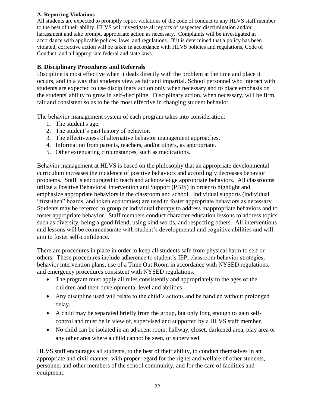#### **A. Reporting Violations**

All students are expected to promptly report violations of the code of conduct to any HLVS staff member to the best of their ability. HLVS will investigate all reports of suspected discrimination and/or harassment and take prompt, appropriate action as necessary. Complaints will be investigated in accordance with applicable polices, laws, and regulations. If it is determined that a policy has been violated, corrective action will be taken in accordance with HLVS policies and regulations, Code of Conduct, and all appropriate federal and state laws.

#### **B. Disciplinary Procedures and Referrals**

Discipline is most effective when it deals directly with the problem at the time and place it occurs, and in a way that students view as fair and impartial. School personnel who interact with students are expected to use disciplinary action only when necessary and to place emphasis on the students' ability to grow in self-discipline. Disciplinary action, when necessary, will be firm, fair and consistent so as to be the most effective in changing student behavior.

The behavior management system of each program takes into consideration:

- 1. The student's age.
- 2. The student's past history of behavior.
- 3. The effectiveness of alternative behavior management approaches.
- 4. Information from parents, teachers, and/or others, as appropriate.
- 5. Other extenuating circumstances, such as medications.

Behavior management at HLVS is based on the philosophy that an appropriate developmental curriculum increases the incidence of positive behaviors and accordingly decreases behavior problems. Staff is encouraged to teach and acknowledge appropriate behaviors. All classrooms utilize a Positive Behavioral Intervention and Support (PBIS) in order to highlight and emphasize appropriate behaviors in the classroom and school. Individual supports (individual "first-then" boards, and token economies) are used to foster appropriate behaviors as necessary. Students may be referred to group or individual therapy to address inappropriate behaviors and to foster appropriate behavior. Staff members conduct character education lessons to address topics such as diversity, being a good friend, using kind words, and respecting others. All interventions and lessons will be commensurate with student's developmental and cognitive abilities and will aim to foster self-confidence.

There are procedures in place in order to keep all students safe from physical harm to self or others. These procedures include adherence to student's IEP, classroom behavior strategies, behavior intervention plans, use of a Time Out Room in accordance with NYSED regulations, and emergency procedures consistent with NYSED regulations.

- The program must apply all rules consistently and appropriately to the ages of the children and their developmental level and abilities.
- Any discipline used will relate to the child's actions and be handled without prolonged delay.
- A child may be separated briefly from the group, but only long enough to gain selfcontrol and must be in view of, supervised and supported by a HLVS staff member.
- No child can be isolated in an adjacent room, hallway, closet, darkened area, play area or any other area where a child cannot be seen, or supervised.

HLVS staff encourages all students, to the best of their ability, to conduct themselves in an appropriate and civil manner, with proper regard for the rights and welfare of other students, personnel and other members of the school community, and for the care of facilities and equipment.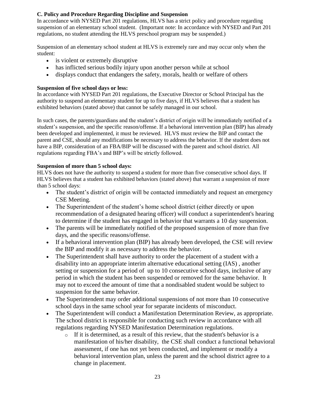#### **C. Policy and Procedure Regarding Discipline and Suspension**

In accordance with NYSED Part 201 regulations, HLVS has a strict policy and procedure regarding suspension of an elementary school student. (Important note: In accordance with NYSED and Part 201 regulations, no student attending the HLVS preschool program may be suspended.)

Suspension of an elementary school student at HLVS is extremely rare and may occur only when the student:

- is violent or extremely disruptive
- has inflicted serious bodily injury upon another person while at school
- displays conduct that endangers the safety, morals, health or welfare of others

#### **Suspension of five school days or less:**

In accordance with NYSED Part 201 regulations, the Executive Director or School Principal has the authority to suspend an elementary student for up to five days, if HLVS believes that a student has exhibited behaviors (stated above) that cannot be safely managed in our school.

In such cases, the parents/guardians and the student's district of origin will be immediately notified of a student's suspension, and the specific reason/offense. If a behavioral intervention plan (BIP) has already been developed and implemented, it must be reviewed. HLVS must review the BIP and contact the parent and CSE, should any modifications be necessary to address the behavior. If the student does not have a BIP, consideration of an FBA/BIP will be discussed with the parent and school district. All regulations regarding FBA's and BIP's will be strictly followed.

#### **Suspension of more than 5 school days:**

HLVS does not have the authority to suspend a student for more than five consecutive school days. If HLVS believes that a student has exhibited behaviors (stated above) that warrant a suspension of more than 5 school days:

- The student's district of origin will be contacted immediately and request an emergency CSE Meeting.
- The Superintendent of the student's home school district (either directly or upon recommendation of a designated hearing officer) will conduct a superintendent's hearing to determine if the student has engaged in behavior that warrants a 10 day suspension.
- The parents will be immediately notified of the proposed suspension of more than five days, and the specific reasons/offense.
- If a behavioral intervention plan (BIP) has already been developed, the CSE will review the BIP and modify it as necessary to address the behavior.
- The Superintendent shall have authority to order the placement of a student with a disability into an appropriate interim alternative educational setting (IAS) , another setting or suspension for a period of up to 10 consecutive school days, inclusive of any period in which the student has been suspended or removed for the same behavior. It may not to exceed the amount of time that a nondisabled student would be subject to suspension for the same behavior.
- The Superintendent may order additional suspensions of not more than 10 consecutive school days in the same school year for separate incidents of misconduct.
- The Superintendent will conduct a Manifestation Determination Review, as appropriate. The school district is responsible for conducting such review in accordance with all regulations regarding NYSED Manifestation Determination regulations.
	- $\circ$  If it is determined, as a result of this review, that the student's behavior is a manifestation of his/her disability, the CSE shall conduct a functional behavioral assessment, if one has not yet been conducted, and implement or modify a behavioral intervention plan, unless the parent and the school district agree to a change in placement.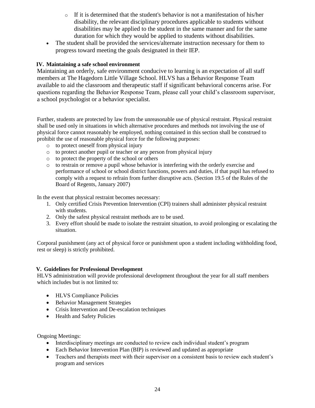- $\circ$  If it is determined that the student's behavior is not a manifestation of his/her disability, the relevant disciplinary procedures applicable to students without disabilities may be applied to the student in the same manner and for the same duration for which they would be applied to students without disabilities.
- The student shall be provided the services/alternate instruction necessary for them to progress toward meeting the goals designated in their IEP.

#### **IV. Maintaining a safe school environment**

Maintaining an orderly, safe environment conducive to learning is an expectation of all staff members at The Hagedorn Little Village School. HLVS has a Behavior Response Team available to aid the classroom and therapeutic staff if significant behavioral concerns arise. For questions regarding the Behavior Response Team, please call your child's classroom supervisor, a school psychologist or a behavior specialist.

Further, students are protected by law from the unreasonable use of physical restraint. Physical restraint shall be used only in situations in which alternative procedures and methods not involving the use of physical force cannot reasonably be employed, nothing contained in this section shall be construed to prohibit the use of reasonable physical force for the following purposes:

- o to protect oneself from physical injury
- o to protect another pupil or teacher or any person from physical injury
- o to protect the property of the school or others
- o to restrain or remove a pupil whose behavior is interfering with the orderly exercise and performance of school or school district functions, powers and duties, if that pupil has refused to comply with a request to refrain from further disruptive acts. (Section 19.5 of the Rules of the Board of Regents, January 2007)

In the event that physical restraint becomes necessary:

- 1. Only certified Crisis Prevention Intervention (CPI) trainers shall administer physical restraint with students.
- 2. Only the safest physical restraint methods are to be used.
- 3. Every effort should be made to isolate the restraint situation, to avoid prolonging or escalating the situation.

Corporal punishment (any act of physical force or punishment upon a student including withholding food, rest or sleep) is strictly prohibited.

#### **V. Guidelines for Professional Development**

HLVS administration will provide professional development throughout the year for all staff members which includes but is not limited to:

- HLVS Compliance Policies
- Behavior Management Strategies
- Crisis Intervention and De-escalation techniques
- Health and Safety Policies

Ongoing Meetings:

- Interdisciplinary meetings are conducted to review each individual student's program
- Each Behavior Intervention Plan (BIP) is reviewed and updated as appropriate
- Teachers and therapists meet with their supervisor on a consistent basis to review each student's program and services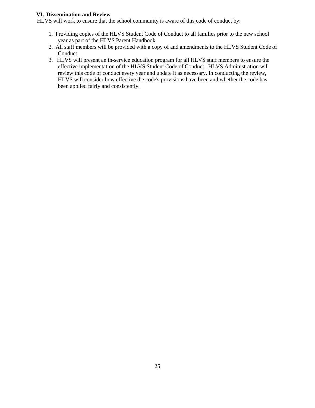#### **VI. Dissemination and Review**

HLVS will work to ensure that the school community is aware of this code of conduct by:

- 1. Providing copies of the HLVS Student Code of Conduct to all families prior to the new school year as part of the HLVS Parent Handbook.
- 2. All staff members will be provided with a copy of and amendments to the HLVS Student Code of Conduct.
- 3. HLVS will present an in-service education program for all HLVS staff members to ensure the effective implementation of the HLVS Student Code of Conduct. HLVS Administration will review this code of conduct every year and update it as necessary. In conducting the review, HLVS will consider how effective the code's provisions have been and whether the code has been applied fairly and consistently.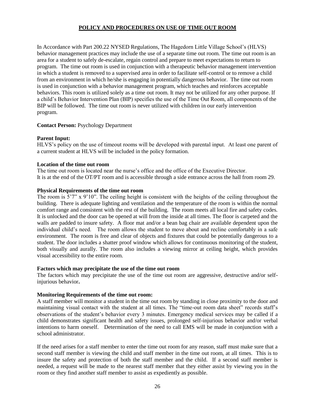#### **POLICY AND PROCEDURES ON USE OF TIME OUT ROOM**

In Accordance with Part 200.22 NYSED Regulations, The Hagedorn Little Village School's (HLVS) behavior management practices may include the use of a separate time out room. The time out room is an area for a student to safely de-escalate, regain control and prepare to meet expectations to return to program. The time out room is used in conjunction with a therapeutic behavior management intervention in which a student is removed to a supervised area in order to facilitate self-control or to remove a child from an environment in which he/she is engaging in potentially dangerous behavior. The time out room is used in conjunction with a behavior management program, which teaches and reinforces acceptable behaviors. This room is utilized solely as a time out room. It may not be utilized for any other purpose. If a child's Behavior Intervention Plan (BIP) specifies the use of the Time Out Room, all components of the BIP will be followed. The time out room is never utilized with children in our early intervention program.

#### **Contact Person:** Psychology Department

#### **Parent Input:**

HLVS's policy on the use of timeout rooms will be developed with parental input. At least one parent of a current student at HLVS will be included in the policy formation.

#### **Location of the time out room**

The time out room is located near the nurse's office and the office of the Executive Director. It is at the end of the OT/PT room and is accessible through a side entrance across the hall from room 29.

#### **Physical Requirements of the time out room**

The room is 5'7" x 9'10". The ceiling height is consistent with the heights of the ceiling throughout the building. There is adequate lighting and ventilation and the temperature of the room is within the normal comfort range and consistent with the rest of the building. The room meets all local fire and safety codes. It is unlocked and the door can be opened at will from the inside at all times. The floor is carpeted and the walls are padded to insure safety. A floor mat and/or a bean bag chair are available dependent upon the individual child's need. The room allows the student to move about and recline comfortably in a safe environment. The room is free and clear of objects and fixtures that could be potentially dangerous to a student. The door includes a shatter proof window which allows for continuous monitoring of the student, both visually and aurally. The room also includes a viewing mirror at ceiling height, which provides visual accessibility to the entire room.

#### **Factors which may precipitate the use of the time out room**

The factors which may precipitate the use of the time out room are aggressive, destructive and/or selfinjurious behavior**.**

#### **Monitoring Requirements of the time out room:**

A staff member will monitor a student in the time out room by standing in close proximity to the door and maintaining visual contact with the student at all times. The "time-out room data sheet" records staff's observations of the student's behavior every 3 minutes. Emergency medical services may be called if a child demonstrates significant health and safety issues, prolonged self-injurious behavior and/or verbal intentions to harm oneself. Determination of the need to call EMS will be made in conjunction with a school administrator.

If the need arises for a staff member to enter the time out room for any reason, staff must make sure that a second staff member is viewing the child and staff member in the time out room, at all times. This is to insure the safety and protection of both the staff member and the child. If a second staff member is needed, a request will be made to the nearest staff member that they either assist by viewing you in the room or they find another staff member to assist as expediently as possible.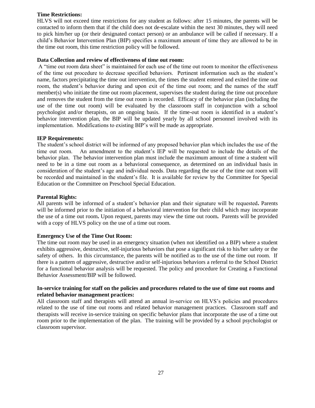#### **Time Restrictions:**

HLVS will not exceed time restrictions for any student as follows: after 15 minutes, the parents will be contacted to inform them that if the child does not de-escalate within the next 30 minutes, they will need to pick him/her up (or their designated contact person) or an ambulance will be called if necessary. If a child's Behavior Intervention Plan (BIP) specifies a maximum amount of time they are allowed to be in the time out room, this time restriction policy will be followed.

#### **Data Collection and review of effectiveness of time out room:**

A "time out room data sheet" is maintained for each use of the time out room to monitor the effectiveness of the time out procedure to decrease specified behaviors. Pertinent information such as the student's name, factors precipitating the time out intervention, the times the student entered and exited the time out room, the student's behavior during and upon exit of the time out room; and the names of the staff member(s) who initiate the time out room placement, supervises the student during the time out procedure and removes the student from the time out room is recorded. Efficacy of the behavior plan (including the use of the time out room) will be evaluated by the classroom staff in conjunction with a school psychologist and/or therapists, on an ongoing basis. If the time-out room is identified in a student's behavior intervention plan, the BIP will be updated yearly by all school personnel involved with its implementation. Modifications to existing BIP's will be made as appropriate.

#### **IEP Requirements:**

The student's school district will be informed of any proposed behavior plan which includes the use of the time out room. An amendment to the student's IEP will be requested to include the details of the behavior plan. The behavior intervention plan must include the maximum amount of time a student will need to be in a time out room as a behavioral consequence, as determined on an individual basis in consideration of the student's age and individual needs. Data regarding the use of the time out room will be recorded and maintained in the student's file. It is available for review by the Committee for Special Education or the Committee on Preschool Special Education.

#### **Parental Rights:**

All parents will be informed of a student's behavior plan and their signature will be requested**.** Parents will be informed prior to the initiation of a behavioral intervention for their child which may incorporate the use of a time out room**.** Upon request, parents may view the time out room**.** Parents will be provided with a copy of HLVS policy on the use of a time out room.

#### **Emergency Use of the Time Out Room:**

The time out room may be used in an emergency situation (when not identified on a BIP) where a student exhibits aggressive, destructive, self-injurious behaviors that pose a significant risk to his/her safety or the safety of others. In this circumstance, the parents will be notified as to the use of the time out room. If there is a pattern of aggressive, destructive and/or self-injurious behaviors a referral to the School District for a functional behavior analysis will be requested. The policy and procedure for Creating a Functional Behavior Assessment/BIP will be followed.

#### **In-service training for staff on the policies and procedures related to the use of time out rooms and related behavior management practices:**

All classroom staff and therapists will attend an annual in-service on HLVS's policies and procedures related to the use of time out rooms and related behavior management practices. Classroom staff and therapists will receive in-service training on specific behavior plans that incorporate the use of a time out room prior to the implementation of the plan. The training will be provided by a school psychologist or classroom supervisor.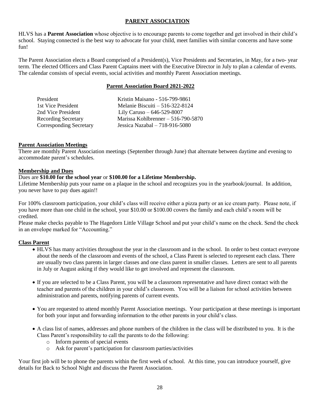#### **PARENT ASSOCIATION**

HLVS has a **Parent Association** whose objective is to encourage parents to come together and get involved in their child's school. Staying connected is the best way to advocate for your child, meet families with similar concerns and have some fun!

The Parent Association elects a Board comprised of a President(s), Vice Presidents and Secretaries, in May, for a two- year term. The elected Officers and Class Parent Captains meet with the Executive Director in July to plan a calendar of events. The calendar consists of special events, social activities and monthly Parent Association meetings.

#### **Parent Association Board 2021-2022**

| President                      | Kristin Maisano - 516-799-9861      |
|--------------------------------|-------------------------------------|
| 1st Vice President             | Melanie Biscuiti $-516-322-8124$    |
| 2nd Vice President             | Lily Caruso $-646-529-8007$         |
| <b>Recording Secretary</b>     | Marissa Kohlbrenner $-516-790-5870$ |
| <b>Corresponding Secretary</b> | Jessica Nazabal $-718-916-5080$     |
|                                |                                     |

#### **Parent Association Meetings**

There are monthly Parent Association meetings (September through June) that alternate between daytime and evening to accommodate parent's schedules.

#### **Membership and Dues**

#### Dues are **\$10.00 for the school year** or **\$100.00 for a Lifetime Membership.**

Lifetime Membership puts your name on a plaque in the school and recognizes you in the yearbook/journal. In addition, you never have to pay dues again!!

For 100% classroom participation, your child's class will receive either a pizza party or an ice cream party. Please note, if you have more than one child in the school, your \$10.00 or \$100.00 covers the family and each child's room will be credited.

Please make checks payable to The Hagedorn Little Village School and put your child's name on the check. Send the check in an envelope marked for "Accounting."

#### **Class Parent**

- HLVS has many activities throughout the year in the classroom and in the school. In order to best contact everyone about the needs of the classroom and events of the school, a Class Parent is selected to represent each class. There are usually two class parents in larger classes and one class parent in smaller classes. Letters are sent to all parents in July or August asking if they would like to get involved and represent the classroom.
- If you are selected to be a Class Parent, you will be a classroom representative and have direct contact with the teacher and parents of the children in your child's classroom. You will be a liaison for school activities between administration and parents, notifying parents of current events.
- You are requested to attend monthly Parent Association meetings. Your participation at these meetings is important for both your input and forwarding information to the other parents in your child's class.
- A class list of names, addresses and phone numbers of the children in the class will be distributed to you. It is the Class Parent's responsibility to call the parents to do the following:
	- o Inform parents of special events
	- o Ask for parent's participation for classroom parties/activities

Your first job will be to phone the parents within the first week of school. At this time, you can introduce yourself, give details for Back to School Night and discuss the Parent Association.